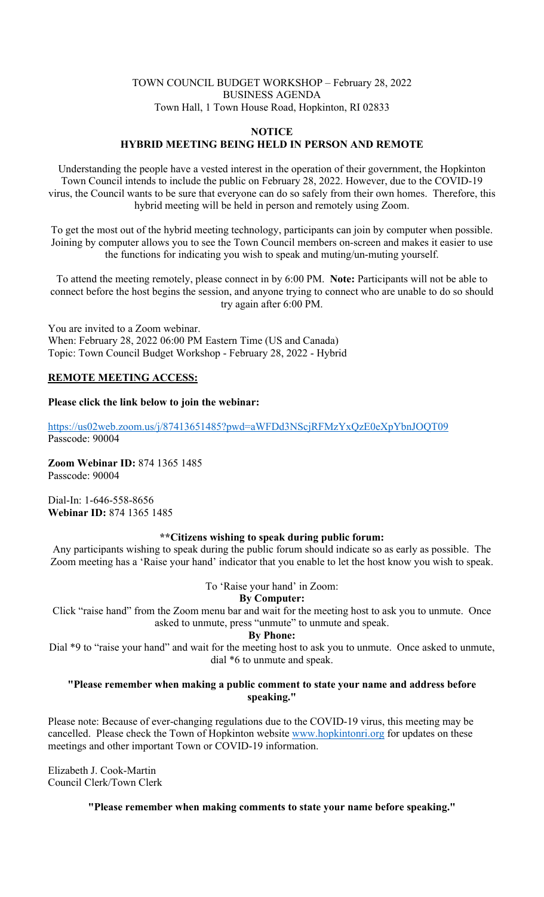#### TOWN COUNCIL BUDGET WORKSHOP – February 28, 2022 BUSINESS AGENDA Town Hall, 1 Town House Road, Hopkinton, RI 02833

#### **NOTICE HYBRID MEETING BEING HELD IN PERSON AND REMOTE**

Understanding the people have a vested interest in the operation of their government, the Hopkinton Town Council intends to include the public on February 28, 2022. However, due to the COVID-19 virus, the Council wants to be sure that everyone can do so safely from their own homes. Therefore, this hybrid meeting will be held in person and remotely using Zoom.

To get the most out of the hybrid meeting technology, participants can join by computer when possible. Joining by computer allows you to see the Town Council members on-screen and makes it easier to use the functions for indicating you wish to speak and muting/un-muting yourself.

To attend the meeting remotely, please connect in by 6:00 PM. **Note:** Participants will not be able to connect before the host begins the session, and anyone trying to connect who are unable to do so should try again after 6:00 PM.

You are invited to a Zoom webinar. When: February 28, 2022 06:00 PM Eastern Time (US and Canada) Topic: Town Council Budget Workshop - February 28, 2022 - Hybrid

# **REMOTE MEETING ACCESS:**

# **Please click the link below to join the webinar:**

https://us02web.zoom.us/j/87413651485?pwd=aWFDd3NScjRFMzYxQzE0eXpYbnJOQT09 Passcode: 90004

**Zoom Webinar ID:** 874 1365 1485 Passcode: 90004

Dial-In: 1-646-558-8656 **Webinar ID:** 874 1365 1485

### **\*\*Citizens wishing to speak during public forum:**

Any participants wishing to speak during the public forum should indicate so as early as possible. The Zoom meeting has a 'Raise your hand' indicator that you enable to let the host know you wish to speak.

To 'Raise your hand' in Zoom:

# **By Computer:**

Click "raise hand" from the Zoom menu bar and wait for the meeting host to ask you to unmute. Once asked to unmute, press "unmute" to unmute and speak.

### **By Phone:**

Dial \*9 to "raise your hand" and wait for the meeting host to ask you to unmute. Once asked to unmute, dial \*6 to unmute and speak.

### **"Please remember when making a public comment to state your name and address before speaking."**

Please note: Because of ever-changing regulations due to the COVID-19 virus, this meeting may be cancelled. Please check the Town of Hopkinton website www.hopkintonri.org for updates on these meetings and other important Town or COVID-19 information.

Elizabeth J. Cook-Martin Council Clerk/Town Clerk

**"Please remember when making comments to state your name before speaking."**